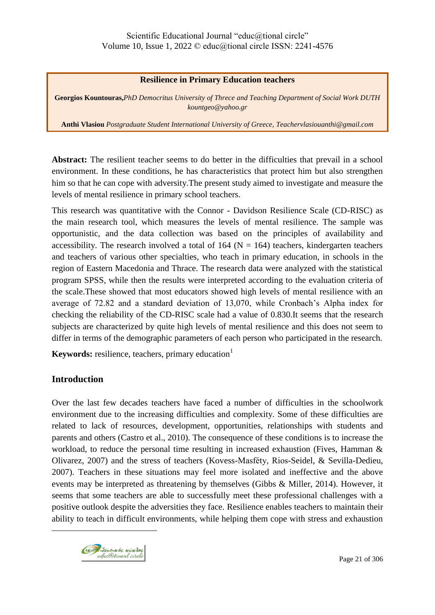## **Resilience in Primary Education teachers**

**Georgios Kountouras,***PhD Democritus University of Threce and Teaching Department of Social Work DUTH kountgeo@yahoo.gr*

**Anthi Vlasiou** *Postgraduate Student International University of Greece, Teachervlasiouanthi@gmail.com*

**Abstract:** The resilient teacher seems to do better in the difficulties that prevail in a school environment. In these conditions, he has characteristics that protect him but also strengthen him so that he can cope with adversity.The present study aimed to investigate and measure the levels of mental resilience in primary school teachers.

This research was quantitative with the Connor - Davidson Resilience Scale (CD-RISC) as the main research tool, which measures the levels of mental resilience. The sample was opportunistic, and the data collection was based on the principles of availability and accessibility. The research involved a total of  $164$  (N = 164) teachers, kindergarten teachers and teachers of various other specialties, who teach in primary education, in schools in the region of Eastern Macedonia and Thrace. The research data were analyzed with the statistical program SPSS, while then the results were interpreted according to the evaluation criteria of the scale.These showed that most educators showed high levels of mental resilience with an average of 72.82 and a standard deviation of 13,070, while Cronbach's Alpha index for checking the reliability of the CD-RISC scale had a value of 0.830.It seems that the research subjects are characterized by quite high levels of mental resilience and this does not seem to differ in terms of the demographic parameters of each person who participated in the research.

**Keywords:** resilience, teachers, primary education<sup>1</sup>

# **Introduction**

 $\overline{a}$ 

Over the last few decades teachers have faced a number of difficulties in the schoolwork environment due to the increasing difficulties and complexity. Some of these difficulties are related to lack of resources, development, opportunities, relationships with students and parents and others (Castro et al., 2010). The consequence of these conditions is to increase the workload, to reduce the personal time resulting in increased exhaustion (Fives, Hamman & Olivarez, 2007) and the stress of teachers (Kovess-Masféty, Rios-Seidel, & Sevilla-Dedieu, 2007). Teachers in these situations may feel more isolated and ineffective and the above events may be interpreted as threatening by themselves (Gibbs & Miller, 2014). However, it seems that some teachers are able to successfully meet these professional challenges with a positive outlook despite the adversities they face. Resilience enables teachers to maintain their ability to teach in difficult environments, while helping them cope with stress and exhaustion

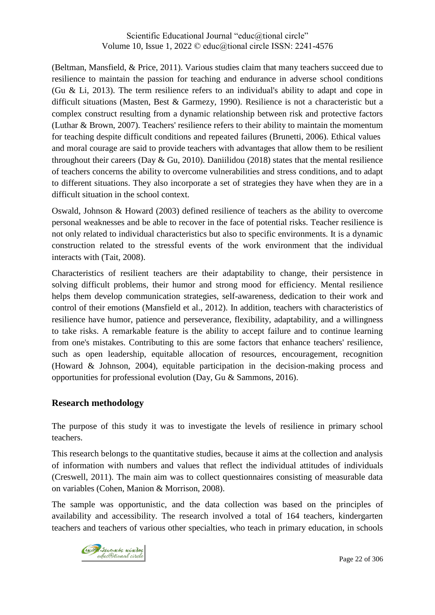(Beltman, Mansfield, & Price, 2011). Various studies claim that many teachers succeed due to resilience to maintain the passion for teaching and endurance in adverse school conditions (Gu & Li, 2013). The term resilience refers to an individual's ability to adapt and cope in difficult situations (Masten, Best & Garmezy, 1990). Resilience is not a characteristic but a complex construct resulting from a dynamic relationship between risk and protective factors (Luthar & Brown, 2007). Teachers' resilience refers to their ability to maintain the momentum for teaching despite difficult conditions and repeated failures (Brunetti, 2006). Ethical values and moral courage are said to provide teachers with advantages that allow them to be resilient throughout their careers (Day  $\&$  Gu, 2010). Daniilidou (2018) states that the mental resilience of teachers concerns the ability to overcome vulnerabilities and stress conditions, and to adapt to different situations. They also incorporate a set of strategies they have when they are in a difficult situation in the school context.

Oswald, Johnson & Howard (2003) defined resilience of teachers as the ability to overcome personal weaknesses and be able to recover in the face of potential risks. Teacher resilience is not only related to individual characteristics but also to specific environments. It is a dynamic construction related to the stressful events of the work environment that the individual interacts with (Tait, 2008).

Characteristics of resilient teachers are their adaptability to change, their persistence in solving difficult problems, their humor and strong mood for efficiency. Mental resilience helps them develop communication strategies, self-awareness, dedication to their work and control of their emotions (Mansfield et al., 2012). In addition, teachers with characteristics of resilience have humor, patience and perseverance, flexibility, adaptability, and a willingness to take risks. A remarkable feature is the ability to accept failure and to continue learning from one's mistakes. Contributing to this are some factors that enhance teachers' resilience, such as open leadership, equitable allocation of resources, encouragement, recognition (Howard & Johnson, 2004), equitable participation in the decision-making process and opportunities for professional evolution (Day, Gu & Sammons, 2016).

# **Research methodology**

The purpose of this study it was to investigate the levels of resilience in primary school teachers.

This research belongs to the quantitative studies, because it aims at the collection and analysis of information with numbers and values that reflect the individual attitudes of individuals (Creswell, 2011). The main aim was to collect questionnaires consisting of measurable data on variables (Cohen, Manion & Morrison, 2008).

The sample was opportunistic, and the data collection was based on the principles of availability and accessibility. The research involved a total of 164 teachers, kindergarten teachers and teachers of various other specialties, who teach in primary education, in schools

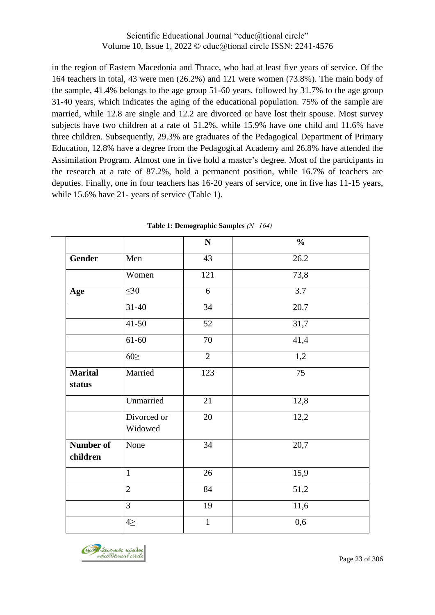in the region of Eastern Macedonia and Thrace, who had at least five years of service. Of the 164 teachers in total, 43 were men (26.2%) and 121 were women (73.8%). The main body of the sample, 41.4% belongs to the age group 51-60 years, followed by 31.7% to the age group 31-40 years, which indicates the aging of the educational population. 75% of the sample are married, while 12.8 are single and 12.2 are divorced or have lost their spouse. Most survey subjects have two children at a rate of 51.2%, while 15.9% have one child and 11.6% have three children. Subsequently, 29.3% are graduates of the Pedagogical Department of Primary Education, 12.8% have a degree from the Pedagogical Academy and 26.8% have attended the Assimilation Program. Almost one in five hold a master's degree. Most of the participants in the research at a rate of 87.2%, hold a permanent position, while 16.7% of teachers are deputies. Finally, one in four teachers has 16-20 years of service, one in five has 11-15 years, while 15.6% have 21- years of service (Table 1).

|                              |                        | ${\bf N}$       | $\frac{0}{0}$     |
|------------------------------|------------------------|-----------------|-------------------|
| <b>Gender</b>                | Men                    | 43              | 26.2              |
|                              | Women                  | 121             | 73,8              |
| Age                          | $\leq 30$              | 6               | 3.7               |
|                              | $31 - 40$              | 34              | 20.7              |
|                              | $41 - 50$              | 52              | 31,7              |
|                              | $61 - 60$              | 70              | 41,4              |
|                              | $60 \geq$              | $\overline{2}$  | 1,2               |
| <b>Marital</b><br>status     | Married                | 123             | 75                |
|                              | Unmarried              | 21              | 12,8              |
|                              | Divorced or<br>Widowed | 20              | 12,2              |
| <b>Number of</b><br>children | None                   | $\overline{34}$ | 20,7              |
|                              | $\mathbf{1}$           | 26              | 15,9              |
|                              | $\overline{2}$         | 84              | $\overline{51,2}$ |
|                              | 3                      | 19              | 11,6              |
|                              | $4 \geq$               | $\mathbf{1}$    | 0,6               |

**Table 1: Demographic Samples** *(Ν=164)*

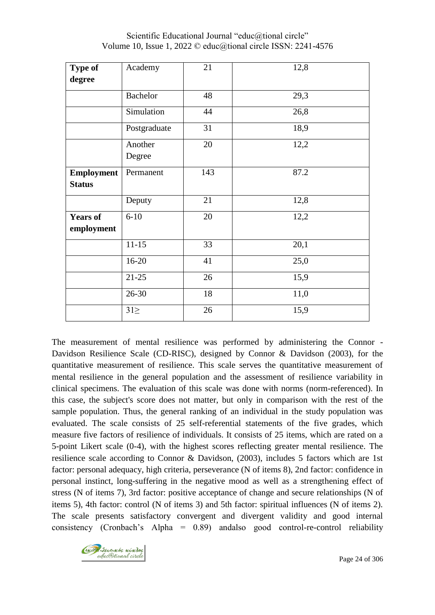| <b>Type of</b>                     | Academy           | 21  | 12,8 |
|------------------------------------|-------------------|-----|------|
| degree                             |                   |     |      |
|                                    | <b>Bachelor</b>   | 48  | 29,3 |
|                                    | Simulation        | 44  | 26,8 |
|                                    | Postgraduate      | 31  | 18,9 |
|                                    | Another<br>Degree | 20  | 12,2 |
| <b>Employment</b><br><b>Status</b> | Permanent         | 143 | 87.2 |
|                                    | Deputy            | 21  | 12,8 |
| <b>Years of</b><br>employment      | $6 - 10$          | 20  | 12,2 |
|                                    | $11 - 15$         | 33  | 20,1 |
|                                    | 16-20             | 41  | 25,0 |
|                                    | $21 - 25$         | 26  | 15,9 |
|                                    | 26-30             | 18  | 11,0 |
|                                    | $31\geq$          | 26  | 15,9 |

Scientific Educational Journal "educ@tional circle" Volume 10, Issue 1, 2022 © educ@tional circle ISSN: 2241-4576

The measurement of mental resilience was performed by administering the Connor - Davidson Resilience Scale (CD-RISC), designed by Connor & Davidson (2003), for the quantitative measurement of resilience. This scale serves the quantitative measurement of mental resilience in the general population and the assessment of resilience variability in clinical specimens. The evaluation of this scale was done with norms (norm-referenced). In this case, the subject's score does not matter, but only in comparison with the rest of the sample population. Thus, the general ranking of an individual in the study population was evaluated. The scale consists of 25 self-referential statements of the five grades, which measure five factors of resilience of individuals. It consists of 25 items, which are rated on a 5-point Likert scale (0-4), with the highest scores reflecting greater mental resilience. The resilience scale according to Connor & Davidson, (2003), includes 5 factors which are 1st factor: personal adequacy, high criteria, perseverance (N of items 8), 2nd factor: confidence in personal instinct, long-suffering in the negative mood as well as a strengthening effect of stress (N of items 7), 3rd factor: positive acceptance of change and secure relationships (N of items 5), 4th factor: control (N of items 3) and 5th factor: spiritual influences (N of items 2). The scale presents satisfactory convergent and divergent validity and good internal consistency (Cronbach's Alpha = 0.89) andalso good control-re-control reliability

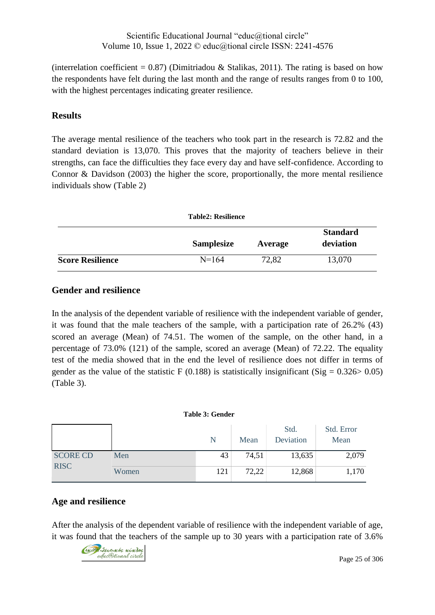(interrelation coefficient =  $0.87$ ) (Dimitriadou & Stalikas, 2011). The rating is based on how the respondents have felt during the last month and the range of results ranges from 0 to 100, with the highest percentages indicating greater resilience.

# **Results**

The average mental resilience of the teachers who took part in the research is 72.82 and the standard deviation is 13,070. This proves that the majority of teachers believe in their strengths, can face the difficulties they face every day and have self-confidence. According to Connor & Davidson (2003) the higher the score, proportionally, the more mental resilience individuals show (Table 2)

|                         | <b>Table2: Resilience</b> |         |                              |
|-------------------------|---------------------------|---------|------------------------------|
|                         | <b>Samplesize</b>         | Average | <b>Standard</b><br>deviation |
| <b>Score Resilience</b> | $N=164$                   | 72,82   | 13,070                       |

# **Gender and resilience**

In the analysis of the dependent variable of resilience with the independent variable of gender, it was found that the male teachers of the sample, with a participation rate of 26.2% (43) scored an average (Mean) of 74.51. The women of the sample, on the other hand, in a percentage of 73.0% (121) of the sample, scored an average (Mean) of 72.22. The equality test of the media showed that in the end the level of resilience does not differ in terms of gender as the value of the statistic F (0.188) is statistically insignificant (Sig =  $0.326 > 0.05$ ) (Table 3).

### **Table 3: Gender**

|                 |       | N   | Mean  | Std.<br>Deviation | Std. Error<br>Mean |
|-----------------|-------|-----|-------|-------------------|--------------------|
| <b>SCORE CD</b> | Men   | 43  | 74,51 | 13,635            | 2,079              |
| <b>RISC</b>     | Women | 121 | 72,22 | 12,868            | 1,170              |

# **Age and resilience**

After the analysis of the dependent variable of resilience with the independent variable of age, it was found that the teachers of the sample up to 30 years with a participation rate of 3.6%

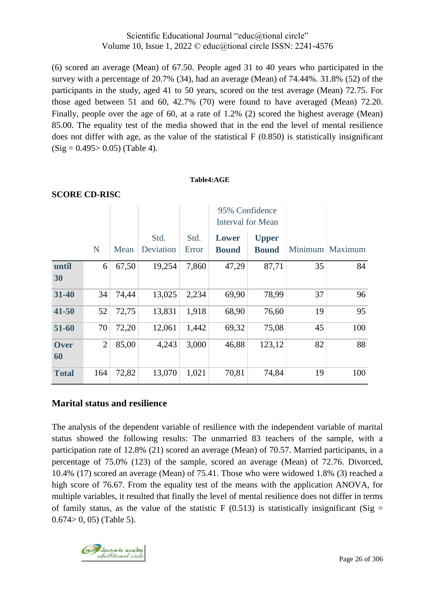(6) scored an average (Mean) of 67.50. People aged 31 to 40 years who participated in the survey with a percentage of 20.7% (34), had an average (Mean) of 74.44%. 31.8% (52) of the participants in the study, aged 41 to 50 years, scored on the test average (Mean) 72.75. For those aged between 51 and 60, 42.7% (70) were found to have averaged (Mean) 72.20. Finally, people over the age of 60, at a rate of 1.2% (2) scored the highest average (Mean) 85.00. The equality test of the media showed that in the end the level of mental resilience does not differ with age, as the value of the statistical F (0.850) is statistically insignificant  $(Sig = 0.495 > 0.05)$  (Table 4).

#### **Table4:AGE**

|              |                |       |           |       | 95% Confidence<br><b>Interval for Mean</b> |              |    |                   |
|--------------|----------------|-------|-----------|-------|--------------------------------------------|--------------|----|-------------------|
|              |                |       | Std.      | Std.  | Lower                                      | <b>Upper</b> |    |                   |
|              | N              | Mean  | Deviation | Error | <b>Bound</b>                               | <b>Bound</b> |    | Minimum   Maximum |
| until<br>30  | 6              | 67,50 | 19,254    | 7,860 | 47,29                                      | 87,71        | 35 | 84                |
| 31-40        | 34             | 74,44 | 13,025    | 2,234 | 69,90                                      | 78,99        | 37 | 96                |
| $41 - 50$    | 52             | 72,75 | 13,831    | 1,918 | 68,90                                      | 76,60        | 19 | 95                |
| 51-60        | 70             | 72,20 | 12,061    | 1,442 | 69,32                                      | 75,08        | 45 | 100               |
| Over<br>60   | $\overline{2}$ | 85,00 | 4,243     | 3,000 | 46,88                                      | 123,12       | 82 | 88                |
| <b>Total</b> | 164            | 72,82 | 13,070    | 1,021 | 70,81                                      | 74,84        | 19 | 100               |

### **SCORE CD-RISC**

## **Marital status and resilience**

The analysis of the dependent variable of resilience with the independent variable of marital status showed the following results: The unmarried 83 teachers of the sample, with a participation rate of 12.8% (21) scored an average (Mean) of 70.57. Married participants, in a percentage of 75.0% (123) of the sample, scored an average (Mean) of 72.76. Divorced, 10.4% (17) scored an average (Mean) of 75.41. Those who were widowed 1.8% (3) reached a high score of 76.67. From the equality test of the means with the application ANOVA, for multiple variables, it resulted that finally the level of mental resilience does not differ in terms of family status, as the value of the statistic F (0.513) is statistically insignificant (Sig =  $0.674 > 0$ , 05) (Table 5).

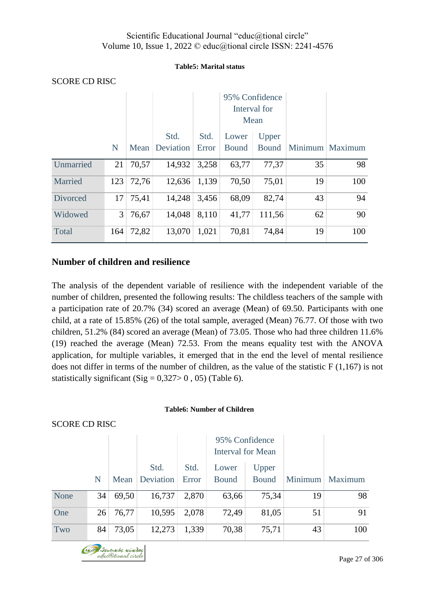### **Table5: Marital status**

|                 |                |       |                        |               | 95% Confidence<br>Interval for<br>Mean |                       |    |                 |
|-----------------|----------------|-------|------------------------|---------------|----------------------------------------|-----------------------|----|-----------------|
|                 | N              |       | Std.<br>Mean Deviation | Std.<br>Error | Lower<br><b>Bound</b>                  | Upper<br><b>Bound</b> |    | Minimum Maximum |
| Unmarried       | 21             | 70,57 | 14,932                 | 3,258         | 63,77                                  | 77,37                 | 35 | 98              |
| Married         | 123            | 72,76 | 12,636                 | 1,139         | 70,50                                  | 75,01                 | 19 | 100             |
| <b>Divorced</b> | 17             | 75,41 | 14,248                 | 3,456         | 68,09                                  | 82,74                 | 43 | 94              |
| Widowed         | 3 <sup>1</sup> | 76,67 | 14,048                 | 8,110         | 41,77                                  | 111.56                | 62 | 90              |
| Total           | 164            | 72,82 | 13,070                 | 1,021         | 70,81                                  | 74,84                 | 19 | 100             |

### SCORE CD RISC

# **Number of children and resilience**

The analysis of the dependent variable of resilience with the independent variable of the number of children, presented the following results: The childless teachers of the sample with a participation rate of 20.7% (34) scored an average (Mean) of 69.50. Participants with one child, at a rate of 15.85% (26) of the total sample, averaged (Mean) 76.77. Of those with two children, 51.2% (84) scored an average (Mean) of 73.05. Those who had three children 11.6% (19) reached the average (Mean) 72.53. From the means equality test with the ANOVA application, for multiple variables, it emerged that in the end the level of mental resilience does not differ in terms of the number of children, as the value of the statistic F (1,167) is not statistically significant (Sig =  $0,327>0$ , 05) (Table 6).

### **Table6: Number of Children**

### SCORE CD RISC

|      |    |       |                   |               | 95% Confidence<br><b>Interval for Mean</b> |                       |         |         |
|------|----|-------|-------------------|---------------|--------------------------------------------|-----------------------|---------|---------|
|      | N  | Mean  | Std.<br>Deviation | Std.<br>Error | Lower<br><b>Bound</b>                      | Upper<br><b>Bound</b> | Minimum | Maximum |
| None | 34 | 69,50 | 16,737            | 2,870         | 63,66                                      | 75,34                 | 19      | 98      |
| One  | 26 | 76,77 | 10,595            | 2,078         | 72,49                                      | 81,05                 | 51      | 91      |
| Two  | 84 | 73,05 | 12,273            | 1,339         | 70,38                                      | 75,71                 | 43      | 100     |

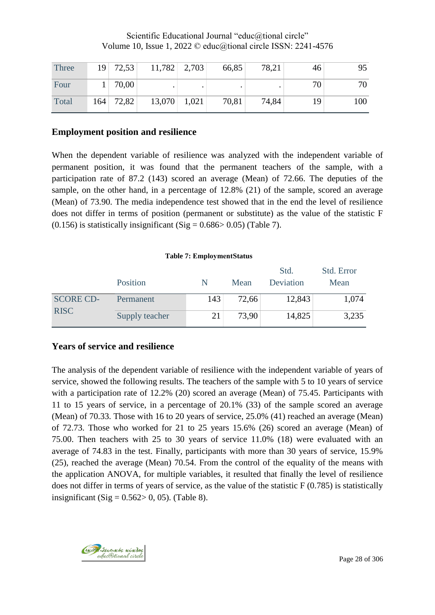| Three | $19$ 72,53 | $11,782$ 2,703 | 66,85 | 78,21 | 46 | 95  |
|-------|------------|----------------|-------|-------|----|-----|
| Four  | 70,00      |                |       |       | 70 | 70  |
| Total | 164 72,82  | $13,070$ 1,021 | 70,81 | 74,84 | 19 | 100 |

# **Employment position and resilience**

When the dependent variable of resilience was analyzed with the independent variable of permanent position, it was found that the permanent teachers of the sample, with a participation rate of 87.2 (143) scored an average (Mean) of 72.66. The deputies of the sample, on the other hand, in a percentage of 12.8% (21) of the sample, scored an average (Mean) of 73.90. The media independence test showed that in the end the level of resilience does not differ in terms of position (permanent or substitute) as the value of the statistic F  $(0.156)$  is statistically insignificant  $(Sig = 0.686 > 0.05)$  (Table 7).

### **Table 7: ΕmploymentStatus**

|                  | Position       | N   | Mean  | Std.<br>Deviation | Std. Error<br>Mean |
|------------------|----------------|-----|-------|-------------------|--------------------|
| <b>SCORE CD-</b> | Permanent      | 143 | 72,66 | 12,843            | 1,074              |
| <b>RISC</b>      | Supply teacher | 21  | 73,90 | 14,825            | 3,235              |

# **Years of service and resilience**

The analysis of the dependent variable of resilience with the independent variable of years of service, showed the following results. The teachers of the sample with 5 to 10 years of service with a participation rate of 12.2% (20) scored an average (Mean) of 75.45. Participants with 11 to 15 years of service, in a percentage of 20.1% (33) of the sample scored an average (Mean) of 70.33. Those with 16 to 20 years of service, 25.0% (41) reached an average (Mean) of 72.73. Those who worked for 21 to 25 years 15.6% (26) scored an average (Mean) of 75.00. Then teachers with 25 to 30 years of service 11.0% (18) were evaluated with an average of 74.83 in the test. Finally, participants with more than 30 years of service, 15.9% (25), reached the average (Mean) 70.54. From the control of the equality of the means with the application ANOVA, for multiple variables, it resulted that finally the level of resilience does not differ in terms of years of service, as the value of the statistic F (0.785) is statistically insignificant (Sig =  $0.562 > 0$ , 05). (Table 8).

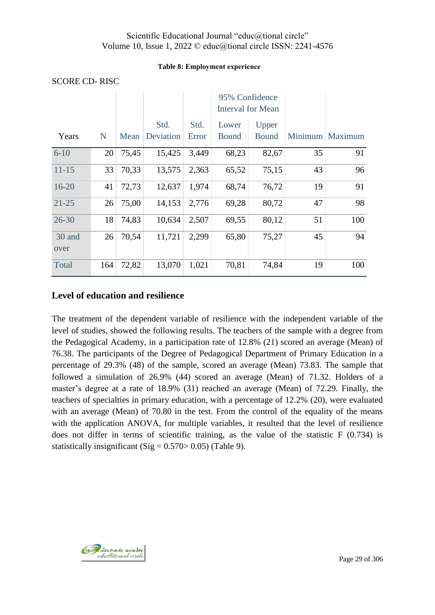### **Table 8: Εmployment experience**

|                |     |       |                   |               | 95% Confidence<br><b>Interval for Mean</b> |                       |    |                   |
|----------------|-----|-------|-------------------|---------------|--------------------------------------------|-----------------------|----|-------------------|
| Years          | N   | Mean  | Std.<br>Deviation | Std.<br>Error | Lower<br><b>Bound</b>                      | Upper<br><b>Bound</b> |    | Minimum   Maximum |
| $6 - 10$       | 20  | 75,45 | 15,425            | 3,449         | 68,23                                      | 82,67                 | 35 | 91                |
| $11 - 15$      | 33  | 70,33 | 13,575            | 2,363         | 65,52                                      | 75,15                 | 43 | 96                |
| $16 - 20$      | 41  | 72,73 | 12,637            | 1,974         | 68,74                                      | 76,72                 | 19 | 91                |
| $21 - 25$      | 26  | 75,00 | 14,153            | 2,776         | 69,28                                      | 80,72                 | 47 | 98                |
| $26 - 30$      | 18  | 74,83 | 10,634            | 2,507         | 69,55                                      | 80,12                 | 51 | 100               |
| 30 and<br>over | 26  | 70,54 | 11,721            | 2,299         | 65,80                                      | 75,27                 | 45 | 94                |
| Total          | 164 | 72,82 | 13,070            | 1,021         | 70,81                                      | 74,84                 | 19 | 100               |

### SCORE CD- RISC

# **Level of education and resilience**

The treatment of the dependent variable of resilience with the independent variable of the level of studies, showed the following results. The teachers of the sample with a degree from the Pedagogical Academy, in a participation rate of 12.8% (21) scored an average (Mean) of 76.38. The participants of the Degree of Pedagogical Department of Primary Education in a percentage of 29.3% (48) of the sample, scored an average (Mean) 73.83. The sample that followed a simulation of 26.9% (44) scored an average (Mean) of 71.32. Holders of a master's degree at a rate of 18.9% (31) reached an average (Mean) of 72.29. Finally, the teachers of specialties in primary education, with a percentage of 12.2% (20), were evaluated with an average (Mean) of 70.80 in the test. From the control of the equality of the means with the application ANOVA, for multiple variables, it resulted that the level of resilience does not differ in terms of scientific training, as the value of the statistic F (0.734) is statistically insignificant (Sig =  $0.570 > 0.05$ ) (Table 9).

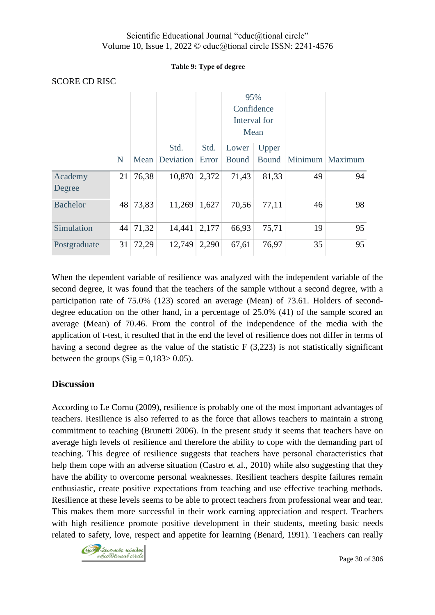### **Table 9: Type of degree**

| <b>SCORE CD RISC</b> |             |          |                          |       |              |              |    |                 |
|----------------------|-------------|----------|--------------------------|-------|--------------|--------------|----|-----------------|
|                      |             |          |                          |       | 95%          |              |    |                 |
|                      |             |          |                          |       |              | Confidence   |    |                 |
|                      |             |          |                          |       |              | Interval for |    |                 |
|                      |             |          |                          |       | Mean         |              |    |                 |
|                      |             |          | Std.                     | Std.  | Lower        | Upper        |    |                 |
|                      | $\mathbf N$ |          | Mean   Deviation   Error |       | <b>Bound</b> | Bound        |    | Minimum Maximum |
| Academy              | 21          | 76,38    | 10,870                   | 2,372 | 71,43        | 81,33        | 49 | 94              |
| Degree               |             |          |                          |       |              |              |    |                 |
| <b>Bachelor</b>      | 48          | 73,83    | 11,269                   | 1,627 | 70,56        | 77,11        | 46 | 98              |
| Simulation           |             | 44 71,32 | 14,441                   | 2,177 | 66,93        | 75,71        | 19 | 95              |
| Postgraduate         | 31          | 72,29    | 12,749                   | 2,290 | 67,61        | 76,97        | 35 | 95              |

When the dependent variable of resilience was analyzed with the independent variable of the second degree, it was found that the teachers of the sample without a second degree, with a participation rate of 75.0% (123) scored an average (Mean) of 73.61. Holders of seconddegree education on the other hand, in a percentage of 25.0% (41) of the sample scored an average (Mean) of 70.46. From the control of the independence of the media with the application of t-test, it resulted that in the end the level of resilience does not differ in terms of having a second degree as the value of the statistic F (3,223) is not statistically significant between the groups  $(Sig = 0.183 > 0.05)$ .

# **Discussion**

According to Le Cornu (2009), resilience is probably one of the most important advantages of teachers. Resilience is also referred to as the force that allows teachers to maintain a strong commitment to teaching (Brunetti 2006). In the present study it seems that teachers have on average high levels of resilience and therefore the ability to cope with the demanding part of teaching. This degree of resilience suggests that teachers have personal characteristics that help them cope with an adverse situation (Castro et al., 2010) while also suggesting that they have the ability to overcome personal weaknesses. Resilient teachers despite failures remain enthusiastic, create positive expectations from teaching and use effective teaching methods. Resilience at these levels seems to be able to protect teachers from professional wear and tear. This makes them more successful in their work earning appreciation and respect. Teachers with high resilience promote positive development in their students, meeting basic needs related to safety, love, respect and appetite for learning (Benard, 1991). Teachers can really

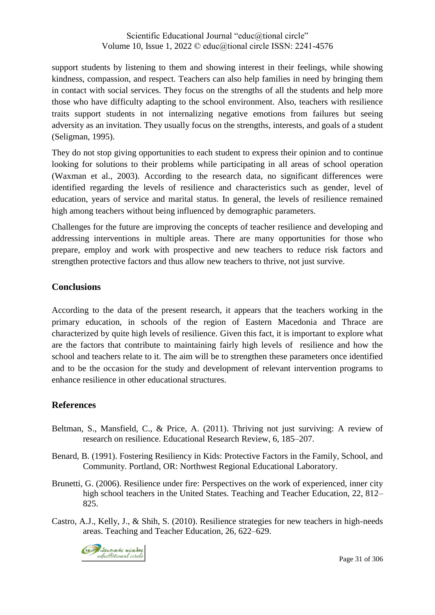support students by listening to them and showing interest in their feelings, while showing kindness, compassion, and respect. Teachers can also help families in need by bringing them in contact with social services. They focus on the strengths of all the students and help more those who have difficulty adapting to the school environment. Also, teachers with resilience traits support students in not internalizing negative emotions from failures but seeing adversity as an invitation. They usually focus on the strengths, interests, and goals of a student (Seligman, 1995).

They do not stop giving opportunities to each student to express their opinion and to continue looking for solutions to their problems while participating in all areas of school operation (Waxman et al., 2003). According to the research data, no significant differences were identified regarding the levels of resilience and characteristics such as gender, level of education, years of service and marital status. In general, the levels of resilience remained high among teachers without being influenced by demographic parameters.

Challenges for the future are improving the concepts of teacher resilience and developing and addressing interventions in multiple areas. There are many opportunities for those who prepare, employ and work with prospective and new teachers to reduce risk factors and strengthen protective factors and thus allow new teachers to thrive, not just survive.

# **Conclusions**

According to the data of the present research, it appears that the teachers working in the primary education, in schools of the region of Eastern Macedonia and Thrace are characterized by quite high levels of resilience. Given this fact, it is important to explore what are the factors that contribute to maintaining fairly high levels of resilience and how the school and teachers relate to it. The aim will be to strengthen these parameters once identified and to be the occasion for the study and development of relevant intervention programs to enhance resilience in other educational structures.

## **References**

- Beltman, S., Mansfield, C., & Price, A. (2011). Thriving not just surviving: A review of research on resilience. Educational Research Review, 6, 185–207.
- Benard, B. (1991). Fostering Resiliency in Kids: Protective Factors in the Family, School, and Community. Portland, OR: Northwest Regional Educational Laboratory.
- Brunetti, G. (2006). Resilience under fire: Perspectives on the work of experienced, inner city high school teachers in the United States. Teaching and Teacher Education, 22, 812– 825.
- Castro, A.J., Kelly, J., & Shih, S. (2010). Resilience strategies for new teachers in high-needs areas. Teaching and Teacher Education, 26, 622–629.

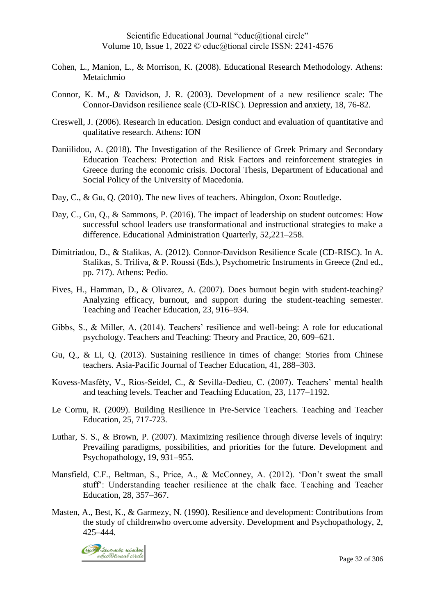- Cohen, L., Manion, L., & Morrison, K. (2008). Educational Research Methodology. Athens: Metaichmio
- Connor, K. M., & Davidson, J. R. (2003). Development of a new resilience scale: The Connor‐Davidson resilience scale (CD‐RISC). Depression and anxiety, 18, 76-82.
- Creswell, J. (2006). Research in education. Design conduct and evaluation of quantitative and qualitative research. Athens: ION
- Daniilidou, A. (2018). The Investigation of the Resilience of Greek Primary and Secondary Education Teachers: Protection and Risk Factors and reinforcement strategies in Greece during the economic crisis. Doctoral Thesis, Department of Educational and Social Policy of the University of Macedonia.
- Day, C., & Gu, O. (2010). The new lives of teachers. Abingdon, Oxon: Routledge.
- Day, C., Gu, O., & Sammons, P. (2016). The impact of leadership on student outcomes: How successful school leaders use transformational and instructional strategies to make a difference. Educational Administration Quarterly, 52,221–258.
- Dimitriadou, D., & Stalikas, A. (2012). Connor-Davidson Resilience Scale (CD-RISC). In A. Stalikas, S. Triliva, & P. Roussi (Eds.), Psychometric Instruments in Greece (2nd ed., pp. 717). Athens: Pedio.
- Fives, H., Hamman, D., & Olivarez, A. (2007). Does burnout begin with student-teaching? Analyzing efficacy, burnout, and support during the student-teaching semester. Teaching and Teacher Education, 23, 916–934.
- Gibbs, S., & Miller, A. (2014). Teachers' resilience and well-being: A role for educational psychology. Teachers and Teaching: Theory and Practice, 20, 609–621.
- Gu, Q., & Li, Q. (2013). Sustaining resilience in times of change: Stories from Chinese teachers. Asia-Pacific Journal of Teacher Education, 41, 288–303.
- Kovess-Masféty, V., Rios-Seidel, C., & Sevilla-Dedieu, C. (2007). Teachers' mental health and teaching levels. Teacher and Teaching Education, 23, 1177–1192.
- Le Cornu, R. (2009). Building Resilience in Pre-Service Teachers. Teaching and Teacher Education, 25, 717-723.
- Luthar, S. S., & Brown, P. (2007). Maximizing resilience through diverse levels of inquiry: Prevailing paradigms, possibilities, and priorities for the future. Development and Psychopathology, 19, 931–955.
- Mansfield, C.F., Beltman, S., Price, A., & McConney, A. (2012). 'Don't sweat the small stuff': Understanding teacher resilience at the chalk face. Teaching and Teacher Education, 28, 357–367.
- Masten, A., Best, K., & Garmezy, N. (1990). Resilience and development: Contributions from the study of childrenwho overcome adversity. Development and Psychopathology, 2, 425–444.